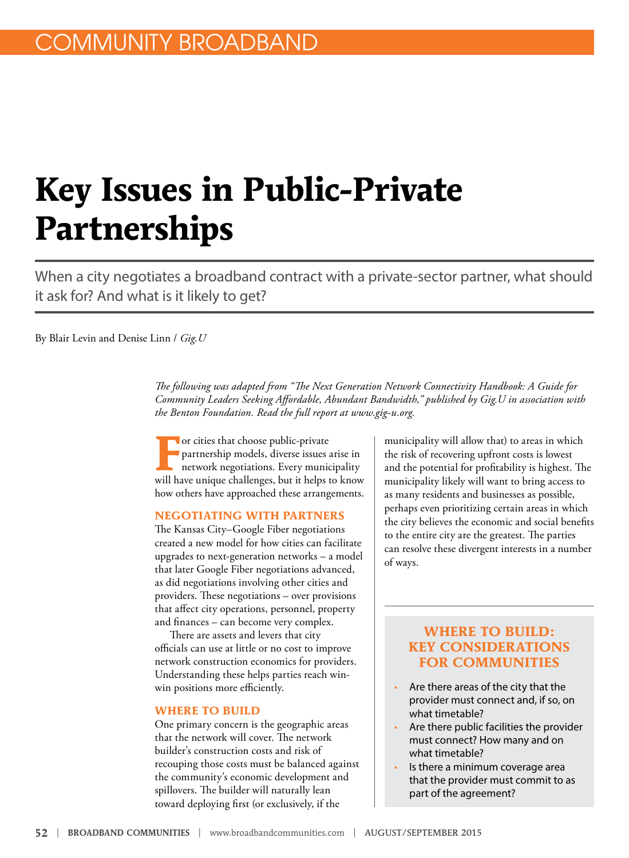## **Key Issues in Public-Private Partnerships**

When a city negotiates a broadband contract with a private-sector partner, what should it ask for? And what is it likely to get?

By Blair Levin and Denise Linn / *Gig.U*

*The following was adapted from "The Next Generation Network Connectivity Handbook: A Guide for Community Leaders Seeking Affordable, Abundant Bandwidth," published by Gig.U in association with the Benton Foundation. Read the full report at www.gig-u.org.*

For cities that choose public-private<br>partnership models, diverse issues a<br>network negotiations. Every munic partnership models, diverse issues arise in network negotiations. Every municipality will have unique challenges, but it helps to know how others have approached these arrangements.

#### **NEGOTIATING WITH PARTNERS**

The Kansas City–Google Fiber negotiations created a new model for how cities can facilitate upgrades to next-generation networks – a model that later Google Fiber negotiations advanced, as did negotiations involving other cities and providers. These negotiations – over provisions that affect city operations, personnel, property and finances – can become very complex.

There are assets and levers that city officials can use at little or no cost to improve network construction economics for providers. Understanding these helps parties reach winwin positions more efficiently.

#### **WHERE TO BUILD**

One primary concern is the geographic areas that the network will cover. The network builder's construction costs and risk of recouping those costs must be balanced against the community's economic development and spillovers. The builder will naturally lean toward deploying first (or exclusively, if the

municipality will allow that) to areas in which the risk of recovering upfront costs is lowest and the potential for profitability is highest. The municipality likely will want to bring access to as many residents and businesses as possible, perhaps even prioritizing certain areas in which the city believes the economic and social benefits to the entire city are the greatest. The parties can resolve these divergent interests in a number of ways.

#### **WHERE TO BUILD: KEY CONSIDERATIONS FOR COMMUNITIES**

- Are there areas of the city that the provider must connect and, if so, on what timetable?
- Are there public facilities the provider must connect? How many and on what timetable?
- Is there a minimum coverage area that the provider must commit to as part of the agreement?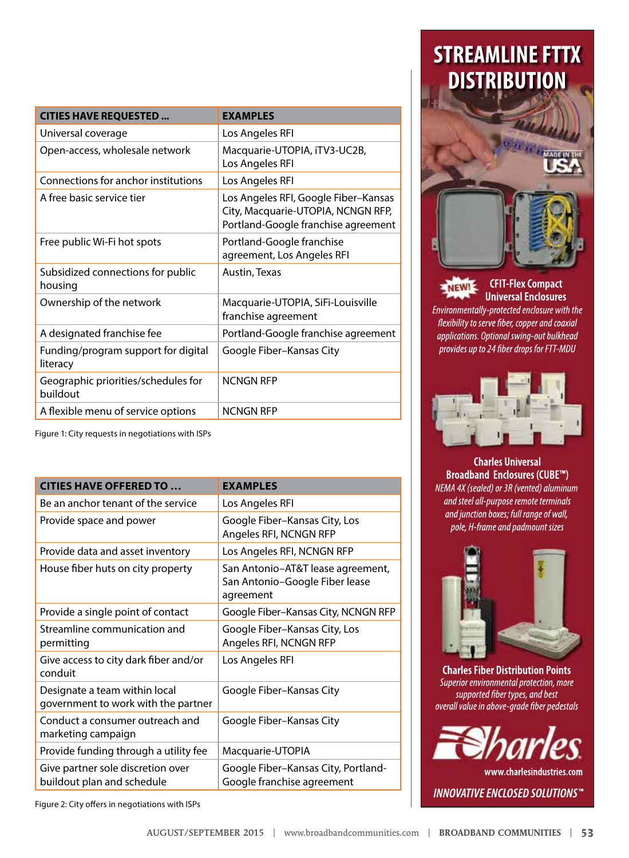| <b>CITIES HAVE REQUESTED </b>                   | <b>EXAMPLES</b>                                                                                                   |
|-------------------------------------------------|-------------------------------------------------------------------------------------------------------------------|
| Universal coverage                              | Los Angeles RFI                                                                                                   |
| Open-access, wholesale network                  | Macquarie-UTOPIA, iTV3-UC2B,<br>Los Angeles RFI                                                                   |
| Connections for anchor institutions             | Los Angeles RFI                                                                                                   |
| A free basic service tier                       | Los Angeles RFI, Google Fiber-Kansas<br>City, Macquarie-UTOPIA, NCNGN RFP,<br>Portland-Google franchise agreement |
| Free public Wi-Fi hot spots                     | Portland-Google franchise<br>agreement, Los Angeles RFI                                                           |
| Subsidized connections for public<br>housing    | Austin, Texas                                                                                                     |
| Ownership of the network                        | Macquarie-UTOPIA, SiFi-Louisville<br>franchise agreement                                                          |
| A designated franchise fee                      | Portland-Google franchise agreement                                                                               |
| Funding/program support for digital<br>literacy | Google Fiber-Kansas City                                                                                          |
| Geographic priorities/schedules for<br>buildout | NCNGN RFP                                                                                                         |
| A flexible menu of service options              | <b>NCNGN RFP</b>                                                                                                  |

Figure 1: City requests in negotiations with ISPs

| <b>CITIES HAVE OFFERED TO </b>                                       | <b>EXAMPLES</b>                                                                  |
|----------------------------------------------------------------------|----------------------------------------------------------------------------------|
| Be an anchor tenant of the service                                   | Los Angeles RFI                                                                  |
| Provide space and power                                              | Google Fiber-Kansas City, Los<br>Angeles RFI, NCNGN RFP                          |
| Provide data and asset inventory                                     | Los Angeles RFI, NCNGN RFP                                                       |
| House fiber huts on city property                                    | San Antonio-AT&T lease agreement,<br>San Antonio-Google Fiber lease<br>agreement |
| Provide a single point of contact                                    | Google Fiber-Kansas City, NCNGN RFP                                              |
| Streamline communication and<br>permitting                           | Google Fiber-Kansas City, Los<br>Angeles RFI, NCNGN RFP                          |
| Give access to city dark fiber and/or<br>conduit                     | Los Angeles RFI                                                                  |
| Designate a team within local<br>government to work with the partner | Google Fiber-Kansas City                                                         |
| Conduct a consumer outreach and<br>marketing campaign                | Google Fiber-Kansas City                                                         |
| Provide funding through a utility fee                                | Macquarie-UTOPIA                                                                 |
| Give partner sole discretion over<br>buildout plan and schedule      | Google Fiber-Kansas City, Portland-<br>Google franchise agreement                |

Figure 2: City offers in negotiations with ISPs

## **STREAMLINE FTTX DISTRIBUTION**



#### **CFIT-Flex Compact** NEWI **Universal Enclosures**

Environmentally-protected enclosure with the flexibility to serve fiber, copper and coaxial applications. Optional swing-out bulkhead provides up to 24 fiber drops for FTT-MDU



**Charles Universal Broadband Enclosures (CUBE™)** NEMA 4X (sealed) or 3R (vented) aluminum and steel all-purpose remote terminals and junction boxes; full range of wall, pole, H-frame and padmount sizes



**Charles Fiber Distribution Points** Superior environmental protection, more supported fiber types, and best overall value in above-grade fiber pedestals



www.charlesindustries.com **INNOVATIVE ENCLOSED SOLUTIONS**"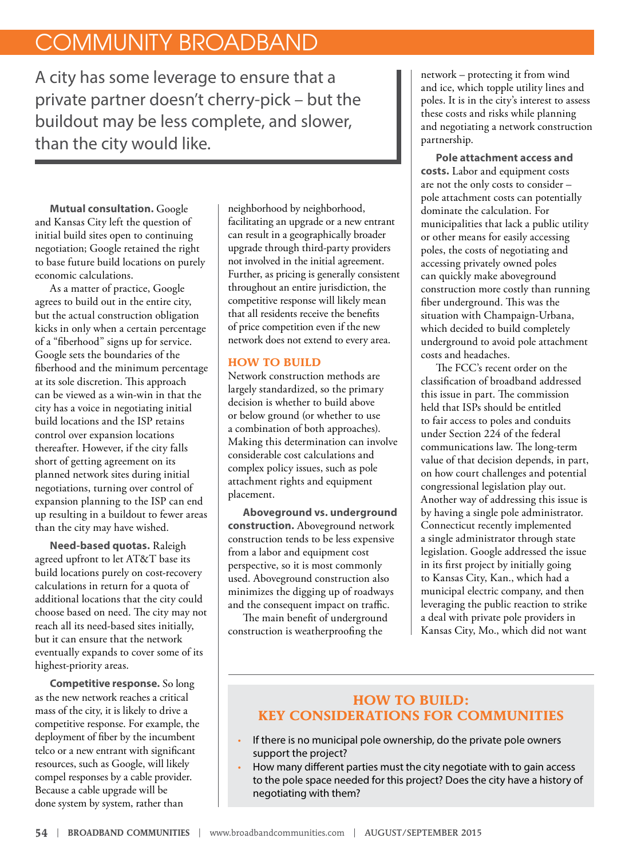## COMMUNITY BROADBAND

A city has some leverage to ensure that a private partner doesn't cherry-pick – but the buildout may be less complete, and slower, than the city would like.

**Mutual consultation.** Google and Kansas City left the question of initial build sites open to continuing negotiation; Google retained the right to base future build locations on purely economic calculations.

As a matter of practice, Google agrees to build out in the entire city, but the actual construction obligation kicks in only when a certain percentage of a "fiberhood" signs up for service. Google sets the boundaries of the fiberhood and the minimum percentage at its sole discretion. This approach can be viewed as a win-win in that the city has a voice in negotiating initial build locations and the ISP retains control over expansion locations thereafter. However, if the city falls short of getting agreement on its planned network sites during initial negotiations, turning over control of expansion planning to the ISP can end up resulting in a buildout to fewer areas than the city may have wished.

**Need-based quotas.** Raleigh agreed upfront to let AT&T base its build locations purely on cost-recovery calculations in return for a quota of additional locations that the city could choose based on need. The city may not reach all its need-based sites initially, but it can ensure that the network eventually expands to cover some of its highest-priority areas.

**Competitive response.** So long as the new network reaches a critical mass of the city, it is likely to drive a competitive response. For example, the deployment of fiber by the incumbent telco or a new entrant with significant resources, such as Google, will likely compel responses by a cable provider. Because a cable upgrade will be done system by system, rather than

neighborhood by neighborhood, facilitating an upgrade or a new entrant can result in a geographically broader upgrade through third-party providers not involved in the initial agreement. Further, as pricing is generally consistent throughout an entire jurisdiction, the competitive response will likely mean that all residents receive the benefits of price competition even if the new network does not extend to every area.

#### **HOW TO BUILD**

Network construction methods are largely standardized, so the primary decision is whether to build above or below ground (or whether to use a combination of both approaches). Making this determination can involve considerable cost calculations and complex policy issues, such as pole attachment rights and equipment placement.

**Aboveground vs. underground construction.** Aboveground network construction tends to be less expensive from a labor and equipment cost perspective, so it is most commonly used. Aboveground construction also minimizes the digging up of roadways and the consequent impact on traffic.

The main benefit of underground construction is weatherproofing the

network – protecting it from wind and ice, which topple utility lines and poles. It is in the city's interest to assess these costs and risks while planning and negotiating a network construction partnership.

**Pole attachment access and costs.** Labor and equipment costs are not the only costs to consider – pole attachment costs can potentially dominate the calculation. For municipalities that lack a public utility or other means for easily accessing poles, the costs of negotiating and accessing privately owned poles can quickly make aboveground construction more costly than running fiber underground. This was the situation with Champaign-Urbana, which decided to build completely underground to avoid pole attachment costs and headaches.

The FCC's recent order on the classification of broadband addressed this issue in part. The commission held that ISPs should be entitled to fair access to poles and conduits under Section 224 of the federal communications law. The long-term value of that decision depends, in part, on how court challenges and potential congressional legislation play out. Another way of addressing this issue is by having a single pole administrator. Connecticut recently implemented a single administrator through state legislation. Google addressed the issue in its first project by initially going to Kansas City, Kan., which had a municipal electric company, and then leveraging the public reaction to strike a deal with private pole providers in Kansas City, Mo., which did not want

#### **HOW TO BUILD: KEY CONSIDERATIONS FOR COMMUNITIES**

- If there is no municipal pole ownership, do the private pole owners support the project?
- How many different parties must the city negotiate with to gain access to the pole space needed for this project? Does the city have a history of negotiating with them?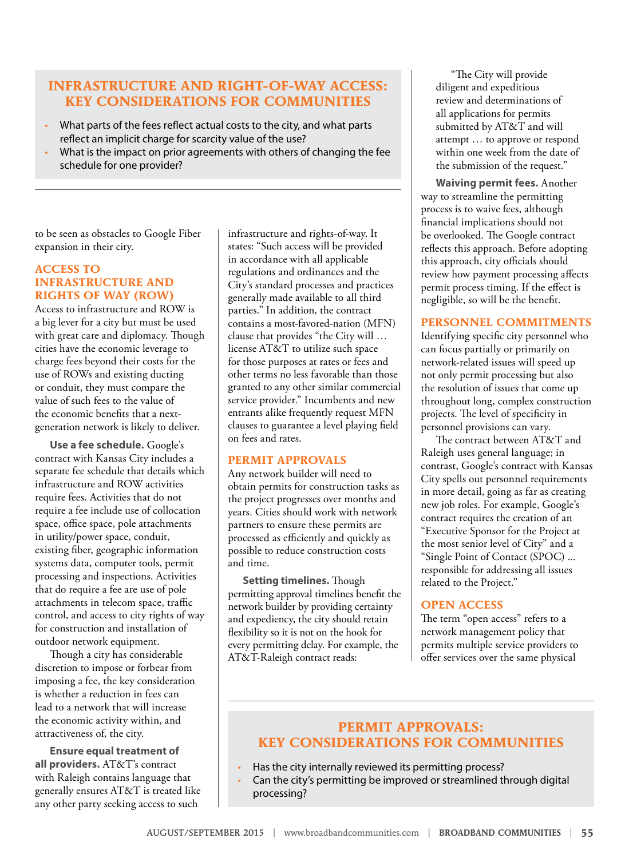#### **INFRASTRUCTURE AND RIGHT-OF-WAY ACCESS: KEY CONSIDERATIONS FOR COMMUNITIES**

- What parts of the fees reflect actual costs to the city, and what parts reflect an implicit charge for scarcity value of the use?
- What is the impact on prior agreements with others of changing the fee schedule for one provider?

to be seen as obstacles to Google Fiber expansion in their city.

#### **ACCESS TO INFRASTRUCTURE AND RIGHTS OF WAY (ROW)**

Access to infrastructure and ROW is a big lever for a city but must be used with great care and diplomacy. Though cities have the economic leverage to charge fees beyond their costs for the use of ROWs and existing ducting or conduit, they must compare the value of such fees to the value of the economic benefits that a nextgeneration network is likely to deliver.

**Use a fee schedule.** Google's contract with Kansas City includes a separate fee schedule that details which infrastructure and ROW activities require fees. Activities that do not require a fee include use of collocation space, office space, pole attachments in utility/power space, conduit, existing fiber, geographic information systems data, computer tools, permit processing and inspections. Activities that do require a fee are use of pole attachments in telecom space, traffic control, and access to city rights of way for construction and installation of outdoor network equipment.

Though a city has considerable discretion to impose or forbear from imposing a fee, the key consideration is whether a reduction in fees can lead to a network that will increase the economic activity within, and attractiveness of, the city.

**Ensure equal treatment of all providers.** AT&T's contract with Raleigh contains language that generally ensures AT&T is treated like any other party seeking access to such

infrastructure and rights-of-way. It states: "Such access will be provided in accordance with all applicable regulations and ordinances and the City's standard processes and practices generally made available to all third parties." In addition, the contract contains a most-favored-nation (MFN) clause that provides "the City will … license AT&T to utilize such space for those purposes at rates or fees and other terms no less favorable than those granted to any other similar commercial service provider." Incumbents and new entrants alike frequently request MFN clauses to guarantee a level playing field on fees and rates.

#### **PERMIT APPROVALS**

Any network builder will need to obtain permits for construction tasks as the project progresses over months and years. Cities should work with network partners to ensure these permits are processed as efficiently and quickly as possible to reduce construction costs and time.

**Setting timelines.** Though permitting approval timelines benefit the network builder by providing certainty and expediency, the city should retain flexibility so it is not on the hook for every permitting delay. For example, the AT&T-Raleigh contract reads:

"The City will provide diligent and expeditious review and determinations of all applications for permits submitted by AT&T and will attempt … to approve or respond within one week from the date of the submission of the request."

**Waiving permit fees.** Another way to streamline the permitting process is to waive fees, although financial implications should not be overlooked. The Google contract reflects this approach. Before adopting this approach, city officials should review how payment processing affects permit process timing. If the effect is negligible, so will be the benefit.

#### **PERSONNEL COMMITMENTS**

Identifying specific city personnel who can focus partially or primarily on network-related issues will speed up not only permit processing but also the resolution of issues that come up throughout long, complex construction projects. The level of specificity in personnel provisions can vary.

The contract between AT&T and Raleigh uses general language; in contrast, Google's contract with Kansas City spells out personnel requirements in more detail, going as far as creating new job roles. For example, Google's contract requires the creation of an "Executive Sponsor for the Project at the most senior level of City" and a "Single Point of Contact (SPOC) ... responsible for addressing all issues related to the Project."

#### **OPEN ACCESS**

The term "open access" refers to a network management policy that permits multiple service providers to offer services over the same physical

#### **PERMIT APPROVALS: KEY CONSIDERATIONS FOR COMMUNITIES**

- Has the city internally reviewed its permitting process?
- Can the city's permitting be improved or streamlined through digital processing?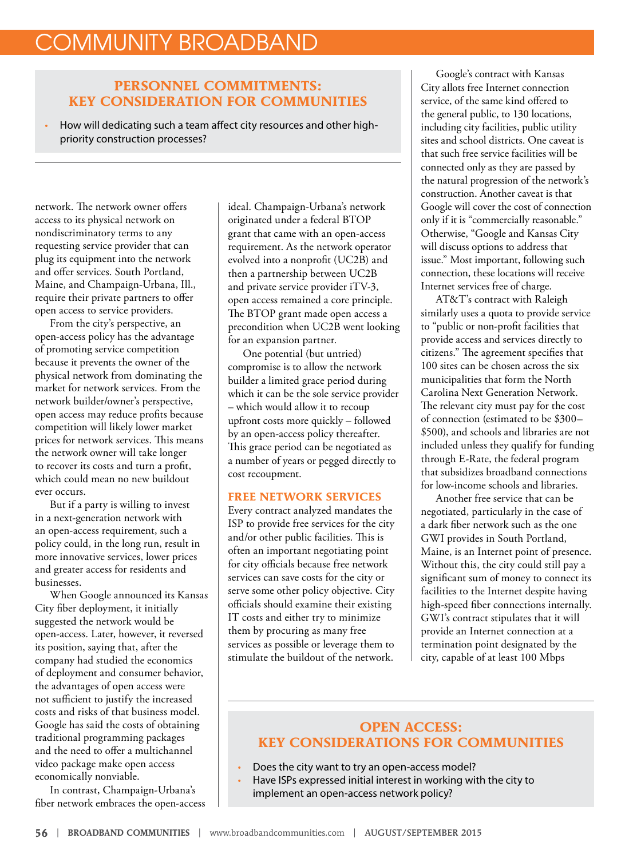## COMMUNITY BROADBAND

#### **PERSONNEL COMMITMENTS: KEY CONSIDERATION FOR COMMUNITIES**

• How will dedicating such a team affect city resources and other highpriority construction processes?

network. The network owner offers access to its physical network on nondiscriminatory terms to any requesting service provider that can plug its equipment into the network and offer services. South Portland, Maine, and Champaign-Urbana, Ill., require their private partners to offer open access to service providers.

From the city's perspective, an open-access policy has the advantage of promoting service competition because it prevents the owner of the physical network from dominating the market for network services. From the network builder/owner's perspective, open access may reduce profits because competition will likely lower market prices for network services. This means the network owner will take longer to recover its costs and turn a profit, which could mean no new buildout ever occurs.

But if a party is willing to invest in a next-generation network with an open-access requirement, such a policy could, in the long run, result in more innovative services, lower prices and greater access for residents and businesses.

When Google announced its Kansas City fiber deployment, it initially suggested the network would be open-access. Later, however, it reversed its position, saying that, after the company had studied the economics of deployment and consumer behavior, the advantages of open access were not sufficient to justify the increased costs and risks of that business model. Google has said the costs of obtaining traditional programming packages and the need to offer a multichannel video package make open access economically nonviable.

In contrast, Champaign-Urbana's fiber network embraces the open-access ideal. Champaign-Urbana's network originated under a federal BTOP grant that came with an open-access requirement. As the network operator evolved into a nonprofit (UC2B) and then a partnership between UC2B and private service provider iTV-3, open access remained a core principle. The BTOP grant made open access a precondition when UC2B went looking for an expansion partner.

One potential (but untried) compromise is to allow the network builder a limited grace period during which it can be the sole service provider – which would allow it to recoup upfront costs more quickly – followed by an open-access policy thereafter. This grace period can be negotiated as a number of years or pegged directly to cost recoupment.

#### **FREE NETWORK SERVICES**

Every contract analyzed mandates the ISP to provide free services for the city and/or other public facilities. This is often an important negotiating point for city officials because free network services can save costs for the city or serve some other policy objective. City officials should examine their existing IT costs and either try to minimize them by procuring as many free services as possible or leverage them to stimulate the buildout of the network.

Google's contract with Kansas City allots free Internet connection service, of the same kind offered to the general public, to 130 locations, including city facilities, public utility sites and school districts. One caveat is that such free service facilities will be connected only as they are passed by the natural progression of the network's construction. Another caveat is that Google will cover the cost of connection only if it is "commercially reasonable." Otherwise, "Google and Kansas City will discuss options to address that issue." Most important, following such connection, these locations will receive Internet services free of charge.

AT&T's contract with Raleigh similarly uses a quota to provide service to "public or non-profit facilities that provide access and services directly to citizens." The agreement specifies that 100 sites can be chosen across the six municipalities that form the North Carolina Next Generation Network. The relevant city must pay for the cost of connection (estimated to be \$300– \$500), and schools and libraries are not included unless they qualify for funding through E-Rate, the federal program that subsidizes broadband connections for low-income schools and libraries.

Another free service that can be negotiated, particularly in the case of a dark fiber network such as the one GWI provides in South Portland, Maine, is an Internet point of presence. Without this, the city could still pay a significant sum of money to connect its facilities to the Internet despite having high-speed fiber connections internally. GWI's contract stipulates that it will provide an Internet connection at a termination point designated by the city, capable of at least 100 Mbps

#### **OPEN ACCESS: KEY CONSIDERATIONS FOR COMMUNITIES**

- Does the city want to try an open-access model?
- Have ISPs expressed initial interest in working with the city to implement an open-access network policy?